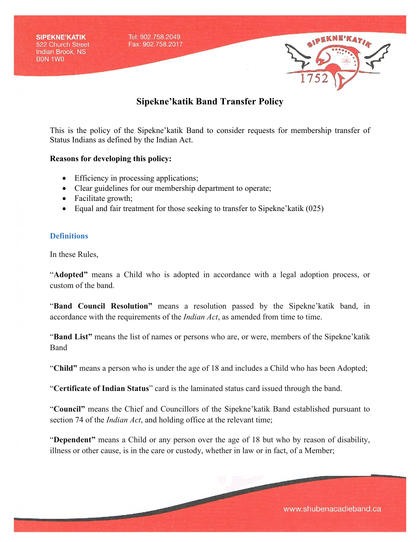

This is the policy of the Sipekne'katik Band to consider requests for membership transfer of Status Indians as defined by the Indian Act.

#### **Reasons for developing this policy:**

- Efficiency in processing applications;
- Clear guidelines for our membership department to operate;
- Facilitate growth;
- Equal and fair treatment for those seeking to transfer to Sipekne' katik (025)

#### **Definitions**

In these Rules,

"**Adopted"** means a Child who is adopted in accordance with a legal adoption process, or custom of the band.

"**Band Council Resolution"** means a resolution passed by the Sipekne'katik band, in accordance with the requirements of the *Indian Act*, as amended from time to time.

"**Band List"** means the list of names or persons who are, or were, members of the Sipekne'katik Band

"**Child"** means a person who is under the age of 18 and includes a Child who has been Adopted;

"**Certificate of Indian Status**" card is the laminated status card issued through the band.

"**Council"** means the Chief and Councillors of the Sipekne'katik Band established pursuant to section 74 of the *Indian Act*, and holding office at the relevant time;

"**Dependent"** means a Child or any person over the age of 18 but who by reason of disability, illness or other cause, is in the care or custody, whether in law or in fact, of a Member;

www.shubenacadieband.ca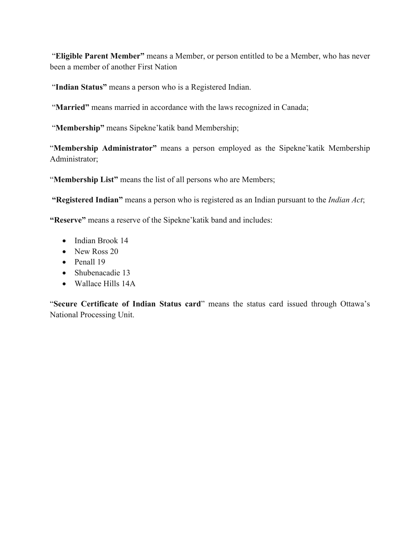"**Eligible Parent Member"** means a Member, or person entitled to be a Member, who has never been a member of another First Nation

"**Indian Status"** means a person who is a Registered Indian.

"**Married**" means married in accordance with the laws recognized in Canada;

"**Membership"** means Sipekne'katik band Membership;

"**Membership Administrator"** means a person employed as the Sipekne'katik Membership Administrator;

"**Membership List"** means the list of all persons who are Members;

**"Registered Indian"** means a person who is registered as an Indian pursuant to the *Indian Act*;

**"Reserve"** means a reserve of the Sipekne'katik band and includes:

- Indian Brook 14
- New Ross 20
- Penall 19
- Shubenacadie 13
- Wallace Hills 14A

"**Secure Certificate of Indian Status card**" means the status card issued through Ottawa's National Processing Unit.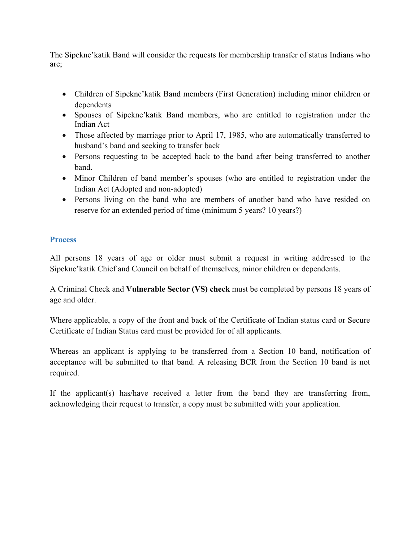The Sipekne'katik Band will consider the requests for membership transfer of status Indians who are;

- Children of Sipekne'katik Band members (First Generation) including minor children or dependents
- Spouses of Sipekne'katik Band members, who are entitled to registration under the Indian Act
- Those affected by marriage prior to April 17, 1985, who are automatically transferred to husband's band and seeking to transfer back
- Persons requesting to be accepted back to the band after being transferred to another band.
- Minor Children of band member's spouses (who are entitled to registration under the Indian Act (Adopted and non-adopted)
- Persons living on the band who are members of another band who have resided on reserve for an extended period of time (minimum 5 years? 10 years?)

# **Process**

All persons 18 years of age or older must submit a request in writing addressed to the Sipekne'katik Chief and Council on behalf of themselves, minor children or dependents.

A Criminal Check and **Vulnerable Sector (VS) check** must be completed by persons 18 years of age and older.

Where applicable, a copy of the front and back of the Certificate of Indian status card or Secure Certificate of Indian Status card must be provided for of all applicants.

Whereas an applicant is applying to be transferred from a Section 10 band, notification of acceptance will be submitted to that band. A releasing BCR from the Section 10 band is not required.

If the applicant(s) has/have received a letter from the band they are transferring from, acknowledging their request to transfer, a copy must be submitted with your application.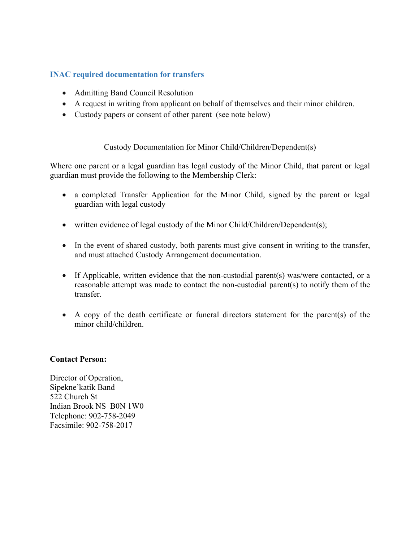# **INAC required documentation for transfers**

- Admitting Band Council Resolution
- A request in writing from applicant on behalf of themselves and their minor children.
- Custody papers or consent of other parent (see note below)

## Custody Documentation for Minor Child/Children/Dependent(s)

Where one parent or a legal guardian has legal custody of the Minor Child, that parent or legal guardian must provide the following to the Membership Clerk:

- a completed Transfer Application for the Minor Child, signed by the parent or legal guardian with legal custody
- written evidence of legal custody of the Minor Child/Children/Dependent(s);
- In the event of shared custody, both parents must give consent in writing to the transfer, and must attached Custody Arrangement documentation.
- If Applicable, written evidence that the non-custodial parent(s) was/were contacted, or a reasonable attempt was made to contact the non-custodial parent(s) to notify them of the transfer.
- A copy of the death certificate or funeral directors statement for the parent(s) of the minor child/children.

## **Contact Person:**

Director of Operation, Sipekne'katik Band 522 Church St Indian Brook NS B0N 1W0 Telephone: 902-758-2049 Facsimile: 902-758-2017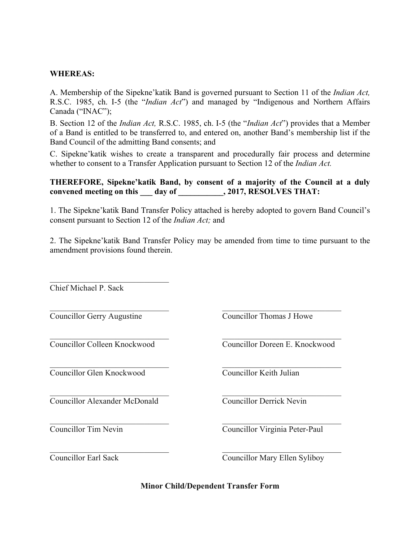### **WHEREAS:**

A. Membership of the Sipekne'katik Band is governed pursuant to Section 11 of the *Indian Act,*  R.S.C. 1985, ch. I-5 (the "*Indian Act*") and managed by "Indigenous and Northern Affairs Canada ("INAC");

B. Section 12 of the *Indian Act,* R.S.C. 1985, ch. I-5 (the "*Indian Act*") provides that a Member of a Band is entitled to be transferred to, and entered on, another Band's membership list if the Band Council of the admitting Band consents; and

C. Sipekne'katik wishes to create a transparent and procedurally fair process and determine whether to consent to a Transfer Application pursuant to Section 12 of the *Indian Act.* 

### **THEREFORE, Sipekne'katik Band, by consent of a majority of the Council at a duly**  convened meeting on this day of , 2017, RESOLVES THAT:

1. The Sipekne'katik Band Transfer Policy attached is hereby adopted to govern Band Council's consent pursuant to Section 12 of the *Indian Act;* and

2. The Sipekne'katik Band Transfer Policy may be amended from time to time pursuant to the amendment provisions found therein.

 $\mathcal{L}_\text{max}$  and the contract of the contract of the contract of the contract of the contract of the contract of

 $\mathcal{L}_\text{max}$  , and the contribution of the contribution of the contribution of the contribution of the contribution of the contribution of the contribution of the contribution of the contribution of the contribution of t

 $\mathcal{L}_\text{max}$  and the contract of the contract of the contract of the contract of the contract of the contract of

 $\mathcal{L}_\text{max}$  and the contract of the contract of the contract of the contract of the contract of the contract of

 $\mathcal{L}_\text{max}$  , and the contribution of the contribution of the contribution of the contribution of the contribution of the contribution of the contribution of the contribution of the contribution of the contribution of t

 $\mathcal{L}_\text{max}$  , and the contribution of the contribution of the contribution of the contribution of the contribution of the contribution of the contribution of the contribution of the contribution of the contribution of t

Chief Michael P. Sack

Councillor Gerry Augustine Councillor Thomas J Howe

 $\mathcal{L}_\text{max}$  , and the set of the set of the set of the set of the set of the set of the set of the set of the set of the set of the set of the set of the set of the set of the set of the set of the set of the set of the

Councillor Glen Knockwood Councillor Keith Julian

Councillor Alexander McDonald Councillor Derrick Nevin

Councillor Colleen Knockwood Councillor Doreen E. Knockwood

Councillor Tim Nevin Councillor Virginia Peter-Paul

Councillor Earl Sack Councillor Mary Ellen Syliboy

**Minor Child/Dependent Transfer Form**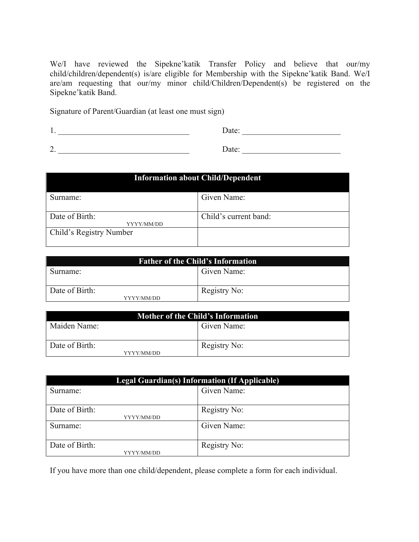We/I have reviewed the Sipekne'katik Transfer Policy and believe that our/my child/children/dependent(s) is/are eligible for Membership with the Sipekne'katik Band. We/I are/am requesting that our/my minor child/Children/Dependent(s) be registered on the Sipekne'katik Band.

Signature of Parent/Guardian (at least one must sign)

1. \_\_\_\_\_\_\_\_\_\_\_\_\_\_\_\_\_\_\_\_\_\_\_\_\_\_\_\_\_\_\_\_ Date: \_\_\_\_\_\_\_\_\_\_\_\_\_\_\_\_\_\_\_\_\_\_\_\_

2. \_\_\_\_\_\_\_\_\_\_\_\_\_\_\_\_\_\_\_\_\_\_\_\_\_\_\_\_\_\_\_\_ Date: \_\_\_\_\_\_\_\_\_\_\_\_\_\_\_\_\_\_\_\_\_\_\_\_

| <b>Information about Child/Dependent</b> |                       |  |
|------------------------------------------|-----------------------|--|
| Surname:                                 | Given Name:           |  |
| Date of Birth:<br>YYYY/MM/DD             | Child's current band: |  |
| Child's Registry Number                  |                       |  |

| <b>Father of the Child's Information</b> |              |  |
|------------------------------------------|--------------|--|
| Surname:                                 | Given Name:  |  |
|                                          |              |  |
| Date of Birth:                           | Registry No: |  |
| YYYY/MM/DD                               |              |  |

| Mother of the Child's Information |              |  |
|-----------------------------------|--------------|--|
| Maiden Name:                      | Given Name:  |  |
| Date of Birth:<br>YYYY/MM/DD      | Registry No: |  |

| <b>Legal Guardian(s) Information (If Applicable)</b> |              |  |
|------------------------------------------------------|--------------|--|
| Surname:                                             | Given Name:  |  |
| Date of Birth:<br>YYYY/MM/DD                         | Registry No: |  |
| Surname:                                             | Given Name:  |  |
| Date of Birth:<br>YYYY/MM/DD                         | Registry No: |  |

If you have more than one child/dependent, please complete a form for each individual.